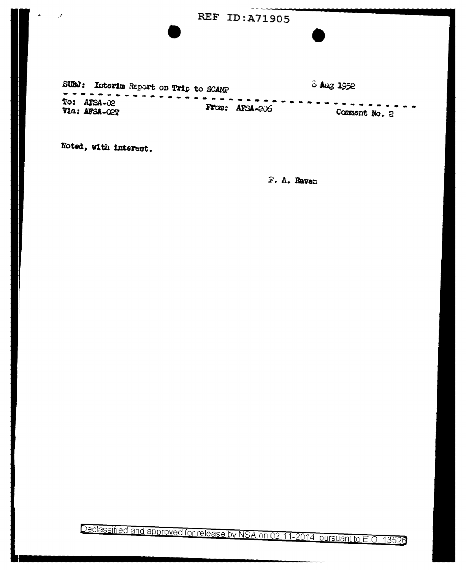## REF ID:A71905

SUBJ: Interim Report on Trip to SCAMP 8 Aug 1952 -----To: AFSA-02 From: AFSA-206 Via: AFSA-COT Comment No. 2

Noted, with interest.

دي.

F. A. Raven

Declassified and approved for release by NSA on 02-11-2014 pursuant to E.O. 13526